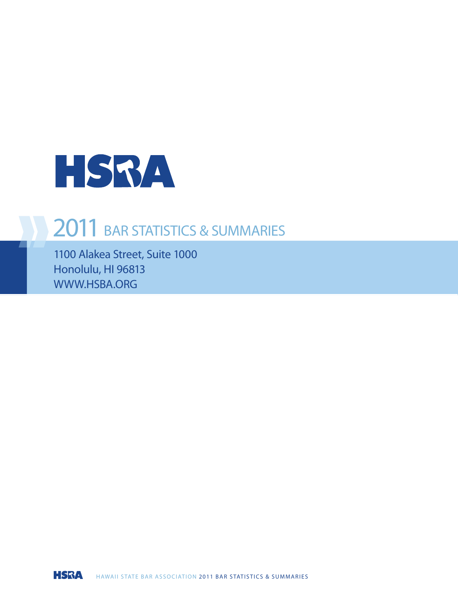

### 2011 BAR STATISTICS & SUMMARIES

1100 Alakea Street, Suite 1000 Honolulu, HI 96813 WWW.HSBA.ORG

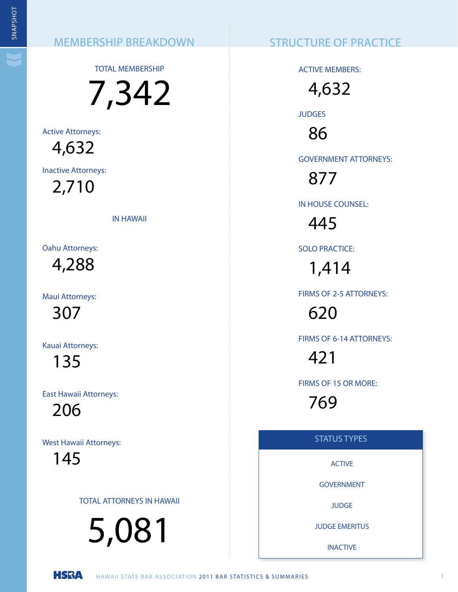TOTAL MEMBERSHIP

7,342 NEMBERSHIP BREAKDOWN<br>
TOTAL MEMBERSHIP BREAKDOWN<br>
TOTAL MEMBERSHIP BREAKDOWN<br>
TOTAL MEMBERSHIP BREAKDOWN<br>
TAL MEMBERSHIP BREAKDOWN<br>
TAL MEMBERSHIP BREAKDOWN<br>
TAL MEMBERSHIP BREAKDOWN<br>
TAL AT TRISPERS CONTROLL STRAINS AND

Active Attorneys: 4,632

Inactive Attorneys:

2,710

IN HAWAII

Oahu Attorneys: 4,288

Maui Attorneys:

307

Kauai Attorneys:

135

East Hawaii Attorneys:

206

West Hawaii Attorneys:

145

TOTAL ATTORNEYS IN HAWAII

5,081

ACTIVE MEMBERS:

4,632 **JUDGES** 

86

GOVERNMENT ATTORNEYS:

877

IN HOUSE COUNSEL:

445

SOLO PRACTICE:

1,414

FIRMS OF 2-5 ATTORNEYS:

620

FIRMS OF 6-14 ATTORNEYS:

421

FIRMS OF 15 OR MORE:

769

### STATUS TYPES

ACTIVE

GOVERNMENT

**JUDGE** 

JUDGE EMERITUS

INACTIVE

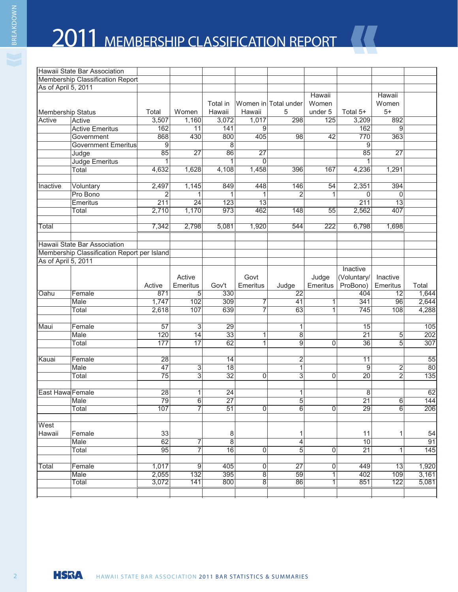# 2011 MEMBERSHIP CLASSIFICATION REPORT

|                     | Hawaii State Bar Association                |                 |                           |                 |                 |                      |                |                 |                 |                |
|---------------------|---------------------------------------------|-----------------|---------------------------|-----------------|-----------------|----------------------|----------------|-----------------|-----------------|----------------|
|                     | Membership Classification Report            |                 |                           |                 |                 |                      |                |                 |                 |                |
| As of April 5, 2011 |                                             |                 |                           |                 |                 |                      |                |                 |                 |                |
|                     |                                             |                 |                           |                 |                 |                      | <b>Hawaii</b>  |                 | <b>Hawaii</b>   |                |
|                     |                                             |                 |                           | Total in        |                 | Women in Total under | Women          |                 | Women           |                |
| Membership Status   |                                             | Total           | Women                     | Hawaii          | Hawaii          | 5                    | under 5        | Total 5+        | $5+$            |                |
| Active              | Active                                      | 3,507           | 1,160                     | 3,072           | 1,017           | 298                  | 125            | 3,209           | 892             |                |
|                     | <b>Active Emeritus</b>                      | 162             | 11                        | 141             | 9               |                      |                | 162             | 9               |                |
|                     | Government                                  | 868             | 430                       | 800             | 405             | 98                   | 42             | 770             | 363             |                |
|                     | <b>Government Emeritus</b>                  | 9               |                           | 8               |                 |                      |                | 9               |                 |                |
|                     | Judge                                       | 85              | $\overline{27}$           | 86              | $\overline{27}$ |                      |                | 85              | 27              |                |
|                     | Judge Emeritus                              | $\mathbf{1}$    |                           | $\mathbf{1}$    | $\mathbf 0$     |                      |                |                 |                 |                |
|                     | Total                                       | 4,632           | 1,628                     | 4,108           | 1,458           | 396                  | 167            | 4,236           | 1,291           |                |
|                     |                                             |                 |                           |                 |                 |                      |                |                 |                 |                |
| Inactive            | Voluntary                                   | 2,497           | 1,145                     | 849             | 448             | 146                  | 54             | 2,351           | 394             |                |
|                     | Pro Bono                                    | $\overline{2}$  | 1                         | 1               | 1               | 2                    | 1              | $\Omega$        | $\Omega$        |                |
|                     | Emeritus                                    | 211             | $\overline{24}$           | 123             | $\overline{13}$ |                      |                | 211             | $\overline{13}$ |                |
|                     | Total                                       | 2,710           | 1,170                     | 973             | 462             | 148                  | 55             | 2,562           | 407             |                |
|                     |                                             |                 |                           |                 |                 |                      |                |                 |                 |                |
| Total               |                                             | 7,342           | 2,798                     | 5,081           | 1,920           | 544                  | 222            | 6,798           | 1,698           |                |
|                     |                                             |                 |                           |                 |                 |                      |                |                 |                 |                |
|                     | Hawaii State Bar Association                |                 |                           |                 |                 |                      |                |                 |                 |                |
|                     | Membership Classification Report per Island |                 |                           |                 |                 |                      |                |                 |                 |                |
| As of April 5, 2011 |                                             |                 |                           |                 |                 |                      |                |                 |                 |                |
|                     |                                             |                 |                           |                 |                 |                      |                | Inactive        |                 |                |
|                     |                                             |                 | Active                    |                 | Govt            |                      | Judge          | (Voluntary/     | Inactive        |                |
|                     |                                             | Active          | Emeritus                  | Gov't           | Emeritus        | Judge                | Emeritus       | ProBono)        | Emeritus        | Total          |
| Oahu                | Female                                      | 871             | 5                         | 330             |                 | $\overline{22}$      |                | 404             | $\overline{12}$ | 1,644          |
|                     | <b>Male</b>                                 | 1,747           | 102                       | 309             | 7               | 41                   | 1              | 341             | 96              | 2,644          |
|                     | Total                                       | 2,618           | 107                       | 639             | $\overline{7}$  | 63                   | 1              | 745             | 108             | 4,288          |
|                     |                                             |                 |                           |                 |                 |                      |                |                 |                 |                |
| Maui                | Female                                      | $\overline{57}$ | 3                         | 29              |                 | 1                    |                | $\overline{15}$ |                 | 105            |
|                     | Male                                        | 120             | $\overline{14}$           | 33              | 1               | 8                    |                | 21              | 5               | 202            |
|                     | Total                                       | 177             | 17                        | 62              | 1               | 9                    | 0              | 36              | 5               | 307            |
|                     |                                             |                 |                           |                 |                 |                      |                |                 |                 |                |
| Kauai               | Female                                      | 28              |                           | 14              |                 | 2                    |                | 11              |                 | 55             |
|                     | Male                                        | $\overline{47}$ | $\overline{3}$            | $\overline{18}$ |                 | $\overline{1}$       |                | 9               | $\overline{2}$  | 80             |
|                     | Total                                       | $\overline{75}$ | $\overline{\overline{3}}$ | $\overline{32}$ | 0               | $\overline{3}$       | 0              | $\overline{20}$ | $\overline{2}$  | 135            |
|                     |                                             |                 |                           |                 |                 |                      |                |                 |                 |                |
| East Hawa Female    |                                             | $\overline{28}$ | 1                         | $\overline{24}$ |                 | 1                    |                | 8               |                 | 62             |
|                     | Male                                        | 79              | $6\overline{6}$           | $\overline{27}$ |                 | 5                    |                | $\overline{21}$ | 6               | 144            |
|                     | Total                                       | 107             | $\overline{7}$            | $\overline{51}$ | $\overline{0}$  | $\overline{6}$       | $\overline{0}$ | 29              | $\overline{6}$  | 206            |
|                     |                                             |                 |                           |                 |                 |                      |                |                 |                 |                |
| West                |                                             |                 |                           |                 |                 |                      |                |                 |                 |                |
| Hawaii              | Female                                      | 33              |                           | 8               |                 | 1                    |                | 11              | 1               | 54             |
|                     | Male                                        | $\overline{62}$ | 7                         | $\overline{8}$  |                 | $\overline{4}$       |                | $\overline{10}$ |                 | 91             |
|                     | Total                                       | 95              | 7                         | 16              | 0               | 5                    | 0              | $\overline{21}$ | 1               | 145            |
|                     |                                             |                 |                           |                 |                 |                      |                |                 |                 |                |
| Total               | Female                                      | 1,017           | $\boldsymbol{9}$          | 405             | $\mathsf 0$     | $\overline{27}$      | $\mathsf 0$    | 449             | 13              | 1,920          |
|                     | Male<br>Total                               | 2,055<br>3,072  | 132<br>141                | 395<br>800      | $\overline{8}$  | 59<br>86             | $\overline{1}$ | 402<br>851      | 109<br>122      | 3,161<br>5,081 |
|                     |                                             |                 |                           |                 | 8               |                      | 1              |                 |                 |                |
|                     |                                             |                 |                           |                 |                 |                      |                |                 |                 |                |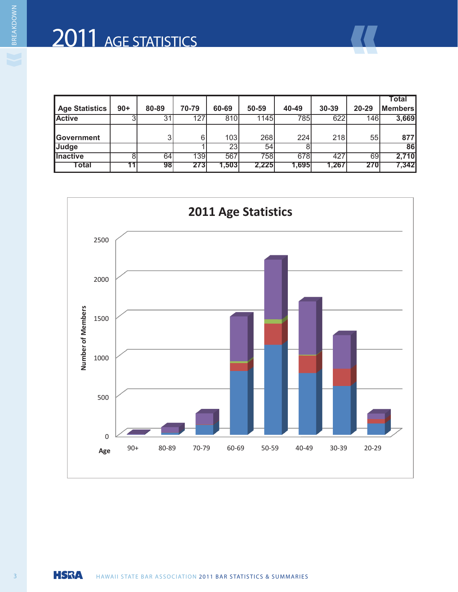# 2011 AGE STATISTICS

|                       |       |       |       |        |       |       |       |       | Total          |
|-----------------------|-------|-------|-------|--------|-------|-------|-------|-------|----------------|
| <b>Age Statistics</b> | $90+$ | 80-89 | 70-79 | 60-69  | 50-59 | 40-49 | 30-39 | 20-29 | <b>Members</b> |
| <b>Active</b>         |       | 31    | 127   | 810    | 1145  | 785   | 622   | 146   | 3,669          |
|                       |       |       |       |        |       |       |       |       |                |
| Government            |       |       | 6     | 103    | 268   | 224   | 218   | 55    | 877            |
| Judge                 |       |       |       | 23     | 54    |       |       |       | 86             |
| <b>Inactive</b>       |       | 64    | 139   | 567    | 758   | 678   | 427   | 69    | 2,710          |
| <b>Total</b>          |       | 98    | 2731  | 1.5031 | 2,225 | 1.695 | 1,267 | 270   | 7,342          |

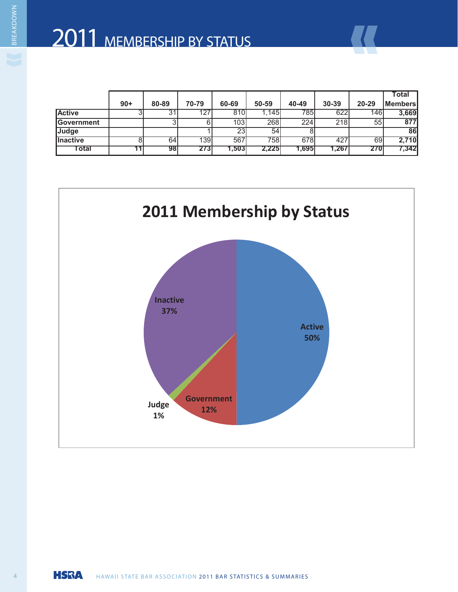|                    |       |       |       |       |       |        |       |       | Total            |
|--------------------|-------|-------|-------|-------|-------|--------|-------|-------|------------------|
|                    | $90+$ | 80-89 | 70-79 | 60-69 | 50-59 | 40-49  | 30-39 | 20-29 | <b> Members </b> |
| <b>Active</b>      |       |       | 127   | 810   | 1.145 | 785    | 622   | 146   | 3,669            |
| <b>IGovernment</b> |       |       |       | 103   | 268   | 224    | 218   | 55    | 877              |
| <b>Judge</b>       |       |       |       | 23    | 54    |        |       |       | <b>86</b>        |
| <b>Ilnactive</b>   |       | 64    | 139   | 567   | 758   | 678    | 427   | 69    | 2,710            |
| ⊺otal              |       | 98    | 273   | 1,503 | 2,225 | 1.6951 | 1,267 | 270   | 7,342            |



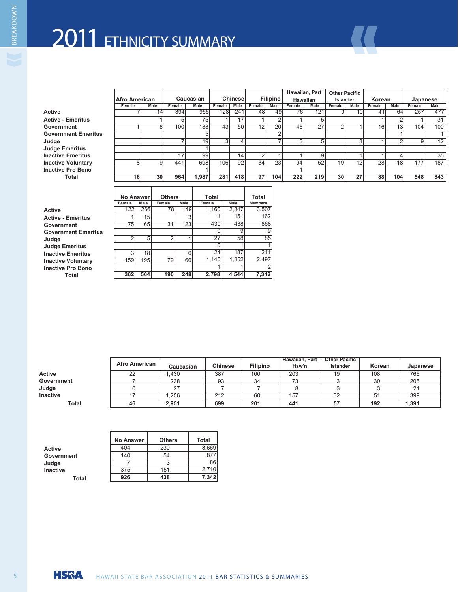# 2011 ETHNICITY SUMMARY

 $\mathbf{r}$ 

| Active                     |
|----------------------------|
| <b>Active - Emeritus</b>   |
| Government                 |
| <b>Government Emeritus</b> |
| Judge                      |
| <b>Judge Emeritus</b>      |
| <b>Inactive Emeritus</b>   |
| <b>Inactive Voluntary</b>  |
| <b>Inactive Pro Bono</b>   |
| <b>Total</b>               |
|                            |

|                            |                      |      |        |           |        |          |                 |                 |        | Hawaiian, Part   | <b>Other Pacific</b> |      |           |                 |          |                 |
|----------------------------|----------------------|------|--------|-----------|--------|----------|-----------------|-----------------|--------|------------------|----------------------|------|-----------|-----------------|----------|-----------------|
|                            | <b>Afro American</b> |      |        | Caucasian |        | Chinesel |                 | <b>Filipino</b> |        | <b>Hawaiian</b>  | Islander             |      | Korean    |                 | Japanese |                 |
|                            | Female               | Male | Female | Male      | Female | Male     | Female          | Male            | Female | Male             | Female               | Male | Female    | Male            | Female   | Male            |
| Active                     |                      |      | 394    | 956       | 128    | 241      | 48              | 49              | 76     | 121 <sub>1</sub> |                      | ΙV   |           | 64              | 257      | 477             |
| <b>Active - Emeritus</b>   |                      |      |        | 75        |        | 17       |                 |                 |        |                  |                      |      |           |                 |          |                 |
| Government                 |                      |      | 100l   | 133       | 43     | 50       | 12 <sup>1</sup> | <b>20</b>       | 46     | 27               |                      |      | 161       |                 | 104      | 100             |
| <b>Government Emeritus</b> |                      |      |        |           |        |          |                 |                 |        |                  |                      |      |           |                 |          |                 |
| Judge                      |                      |      |        | 19        |        |          |                 |                 |        |                  |                      |      |           |                 |          | 12              |
| Judge Emeritus             |                      |      |        |           |        |          |                 |                 |        |                  |                      |      |           |                 |          |                 |
| <b>Inactive Emeritus</b>   |                      |      |        | 99        |        | 14       |                 |                 |        |                  |                      |      |           |                 |          | 35 <sub>l</sub> |
| <b>Inactive Voluntary</b>  |                      |      | 441    | 698       | 106    | 92       | 34              | 23              | 94     | 52               | 191                  | 121  | <b>28</b> | 18 <sub>1</sub> | 177      | 187             |
| <b>Inactive Pro Bono</b>   |                      |      |        |           |        |          |                 |                 |        |                  |                      |      |           |                 |          |                 |
| Total                      | 16                   | 30   | 964    | .987      | 281    | 418      | 97 <sup>1</sup> | 104             | 222    | 219              | 30 <sup>1</sup>      | 27   | 88        | 104             | 548      | 843             |
|                            |                      |      |        |           |        |          |                 |                 |        |                  |                      |      |           |                 |          |                 |

| <b>Active</b>             |
|---------------------------|
| <b>Active - Emeritus</b>  |
| Government                |
| <b>Government Emeritu</b> |
| Judge                     |
| <b>Judge Emeritus</b>     |
| <b>Inactive Emeritus</b>  |
| <b>Inactive Voluntary</b> |
| <b>Inactive Pro Bono</b>  |
| Total                     |
|                           |

|                            | <b>No Answer</b>        |     | <b>Others</b>        |       | Total       |             | Total           |
|----------------------------|-------------------------|-----|----------------------|-------|-------------|-------------|-----------------|
|                            | Female Male Female Male |     |                      |       | Female      | Male        | <b>Members</b>  |
| Active                     | 122                     | 266 |                      | 7 O I | <b>160T</b> | 2,347       | 3,507           |
| <b>Active - Emeritus</b>   |                         |     |                      |       |             | 151         |                 |
| Government                 | $- -$                   | 65  | $\sim$ $\sim$ $\sim$ |       | 430         | $-$<br>4381 | 868             |
| <b>Government Emeritus</b> |                         |     |                      |       |             |             |                 |
| Judge                      |                         |     |                      |       |             |             |                 |
| <b>Judge Emeritus</b>      |                         |     |                      |       |             |             |                 |
| <b>Inactive Emeritus</b>   |                         |     |                      |       |             | 187         | 21 <sup>1</sup> |
| <b>Inactive Voluntary</b>  | 159                     | 195 |                      |       | .145        | 1,352       | 2,497           |
| <b>Inactive Pro Bono</b>   |                         |     |                      |       |             |             |                 |
| Total                      | 362                     | 564 | 190                  | 248   | 2,798       | 4,544       | 7,342           |

|            |                      |                                        |                  |                    | Hawaiian, Part   Other Pacific |                          |                      |                            |
|------------|----------------------|----------------------------------------|------------------|--------------------|--------------------------------|--------------------------|----------------------|----------------------------|
|            | <b>Afro American</b> | Caucasian                              | <b>Chinese</b>   | <b>Filipino</b>    | Haw'n                          | Islander                 | Korean               | Japanese                   |
| Active     | ∠∠                   |                                        | $\sim$<br>38     | $\sqrt{2}$<br>י שי | $\sim$<br>---                  |                          | $\sqrt{2}$<br>$\sim$ | $-00$<br>.                 |
| Government |                      | $\sim$ $\sim$                          | $\sim$ $\sim$    |                    | $\sim$ $\sim$                  |                          | $\sim$ $\sim$        | $\sim$ $\sim$ $\sim$<br>-~ |
| Judge      |                      |                                        |                  |                    |                                |                          |                      |                            |
| Inactive   |                      | $\sim$ $\sim$ $\sim$ $\sim$<br>ب ت∠ 1, | 04C<br>$\sim$ 12 |                    | $\cdot$ $-$                    | $\sim$ $\sim$            |                      | $- - -$<br>- - - -         |
| Tota.      |                      | 2,95'                                  | $\sim$<br>໐ຯຯ    | $-$<br>ZU L        | AA4<br>.                       | $\overline{\phantom{a}}$ | 192                  | 1,391                      |

**Industrial Industrial Industrial Industrial Industrial Industrial Industrial Industrial Industrial Industrial** 

| <b>Active</b>   |       |
|-----------------|-------|
| Government      |       |
| Judge           |       |
| <b>Inactive</b> |       |
|                 | Total |

|                                 | <b>No Answer</b>           | <b>Others</b>            | Total |
|---------------------------------|----------------------------|--------------------------|-------|
| Active                          | $\Lambda$ $\Lambda$<br>4U4 | 230                      | 3,669 |
|                                 | 4A<br>$\mathbf{r}$         | $\overline{\phantom{0}}$ | 877   |
|                                 |                            |                          |       |
| Government<br>Judge<br>Inactive | 375<br><u>u i u</u>        | 4E4<br>1 U I             | 2,710 |
| <b>Total</b>                    | 926                        | 438                      | 7,342 |

**Judge** 7 19 3 4 7 3 5 3 1 2 9 12 2 5 2 1 27 58 85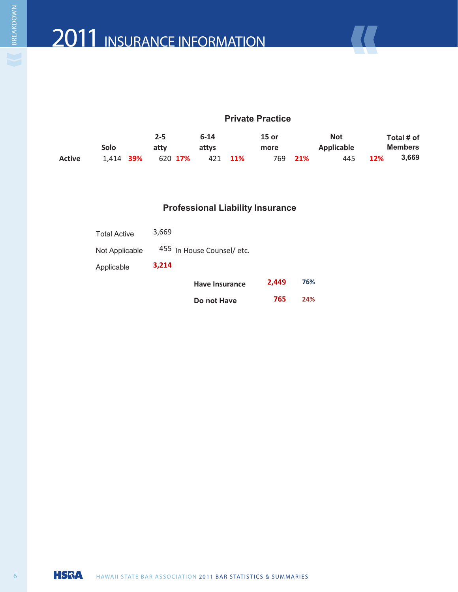#### **Private Practice**

|               |           | $2 - 5$ |      |         | $6 - 14$ |         | $15$ or |     | <b>Not</b> |            | Total # of     |  |  |
|---------------|-----------|---------|------|---------|----------|---------|---------|-----|------------|------------|----------------|--|--|
|               | Solo      |         | attv |         | attys    |         | more    |     | Applicable |            | <b>Members</b> |  |  |
| <b>Active</b> | 1.414 39% |         |      | 620 17% |          | 421 11% | 769     | 21% | 445        | <b>12%</b> | 3,669          |  |  |

#### **Professional Liability Insurance**

| <b>Total Active</b><br>Not Applicable |       | 455 In House Counsel/ etc. |       |     |
|---------------------------------------|-------|----------------------------|-------|-----|
| Applicable                            | 3,214 |                            |       |     |
|                                       |       | <b>Have Insurance</b>      | 2.449 | 76% |
|                                       |       | Do not Have                | 765   | 24% |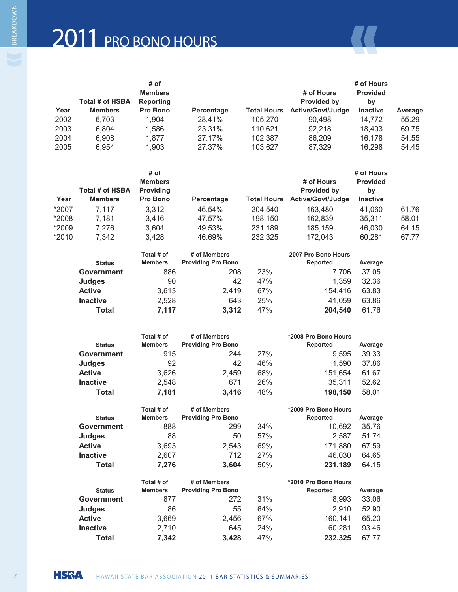|      |                 | # of           |            |                    | # of Hours        |                 |         |  |
|------|-----------------|----------------|------------|--------------------|-------------------|-----------------|---------|--|
|      |                 | <b>Members</b> |            |                    |                   | <b>Provided</b> |         |  |
|      | Total # of HSBA | Reporting      |            |                    | Provided by       | bv              |         |  |
| Year | <b>Members</b>  | Pro Bono       | Percentage | <b>Total Hours</b> | Active/Govt/Judge | <b>Inactive</b> | Average |  |
| 2002 | 6.703           | 1.904          | 28.41%     | 105.270            | 90.498            | 14.772          | 55.29   |  |
| 2003 | 6.804           | 1,586          | 23.31%     | 110.621            | 92.218            | 18.403          | 69.75   |  |
| 2004 | 6.908           | 1.877          | 27.17%     | 102.387            | 86.209            | 16.178          | 54.55   |  |
| 2005 | 6.954           | 1.903          | 27.37%     | 103.627            | 87,329            | 16,298          | 54.45   |  |
|      |                 |                |            |                    |                   |                 |         |  |

|       | Total # of HSBA | # of<br><b>Members</b><br><b>Providing</b> |            |                    | # of Hours<br><b>Provided by</b> | # of Hours<br><b>Provided</b> |       |
|-------|-----------------|--------------------------------------------|------------|--------------------|----------------------------------|-------------------------------|-------|
| Year  | <b>Members</b>  | <b>Pro Bono</b>                            | Percentage | <b>Total Hours</b> | Active/Govt/Judge                | by<br><b>Inactive</b>         |       |
| *2007 | 7.117           | 3.312                                      | 46.54%     | 204.540            | 163.480                          | 41.060                        | 61.76 |
| *2008 | 7.181           | 3.416                                      | 47.57%     | 198,150            | 162,839                          | 35,311                        | 58.01 |
| *2009 | 7.276           | 3.604                                      | 49.53%     | 231,189            | 185.159                          | 46.030                        | 64.15 |
| *2010 | 7.342           | 3.428                                      | 46.69%     | 232,325            | 172.043                          | 60.281                        | 67.77 |

| <b>Status</b>     | Total # of<br><b>Members</b> | # of Members<br><b>Providing Pro Bono</b> |     | 2007 Pro Bono Hours<br>Reported | Average |
|-------------------|------------------------------|-------------------------------------------|-----|---------------------------------|---------|
| <b>Government</b> | 886                          | 208                                       | 23% | 7.706                           | 37.05   |
| <b>Judges</b>     | 90                           | 42                                        | 47% | 1.359                           | 32.36   |
| <b>Active</b>     | 3,613                        | 2.419                                     | 67% | 154.416                         | 63.83   |
| <b>Inactive</b>   | 2.528                        | 643                                       | 25% | 41.059                          | 63.86   |
| Total             | 7,117                        | 3,312                                     | 47% | 204,540                         | 61.76   |

|                   | Total # of     | # of Members              |     | *2008 Pro Bono Hours |         |
|-------------------|----------------|---------------------------|-----|----------------------|---------|
| <b>Status</b>     | <b>Members</b> | <b>Providing Pro Bono</b> |     | Reported             | Average |
| Government        | 915            | 244                       | 27% | 9,595                | 39.33   |
| <b>Judges</b>     | 92             | 42                        | 46% | 1.590                | 37.86   |
| <b>Active</b>     | 3,626          | 2,459                     | 68% | 151,654              | 61.67   |
| <b>Inactive</b>   | 2,548          | 671                       | 26% | 35,311               | 52.62   |
| <b>Total</b>      | 7,181          | 3,416                     | 48% | 198,150              | 58.01   |
|                   |                |                           |     |                      |         |
|                   | Total # of     | # of Members              |     | *2009 Pro Bono Hours |         |
| <b>Status</b>     | <b>Members</b> | <b>Providing Pro Bono</b> |     | Reported             | Average |
| <b>Government</b> | 888            | 299                       | 34% | 10,692               | 35.76   |
| <b>Judges</b>     | 88             | 50                        | 57% | 2,587                | 51.74   |
| <b>Active</b>     | 3,693          | 2,543                     | 69% | 171,880              | 67.59   |
| <b>Inactive</b>   | 2,607          | 712                       | 27% | 46,030               | 64.65   |
| <b>Total</b>      | 7,276          | 3,604                     | 50% | 231,189              | 64.15   |

|                   | Total # of     | # of Members              |     | *2010 Pro Bono Hours |         |
|-------------------|----------------|---------------------------|-----|----------------------|---------|
| <b>Status</b>     | <b>Members</b> | <b>Providing Pro Bono</b> |     | Reported             | Average |
| <b>Government</b> | 877            | 272                       | 31% | 8.993                | 33.06   |
| <b>Judges</b>     | 86             | 55                        | 64% | 2.910                | 52.90   |
| <b>Active</b>     | 3,669          | 2.456                     | 67% | 160.141              | 65.20   |
| <b>Inactive</b>   | 2,710          | 645                       | 24% | 60.281               | 93.46   |
| Total             | 7,342          | 3.428                     | 47% | 232,325              | 67.77   |